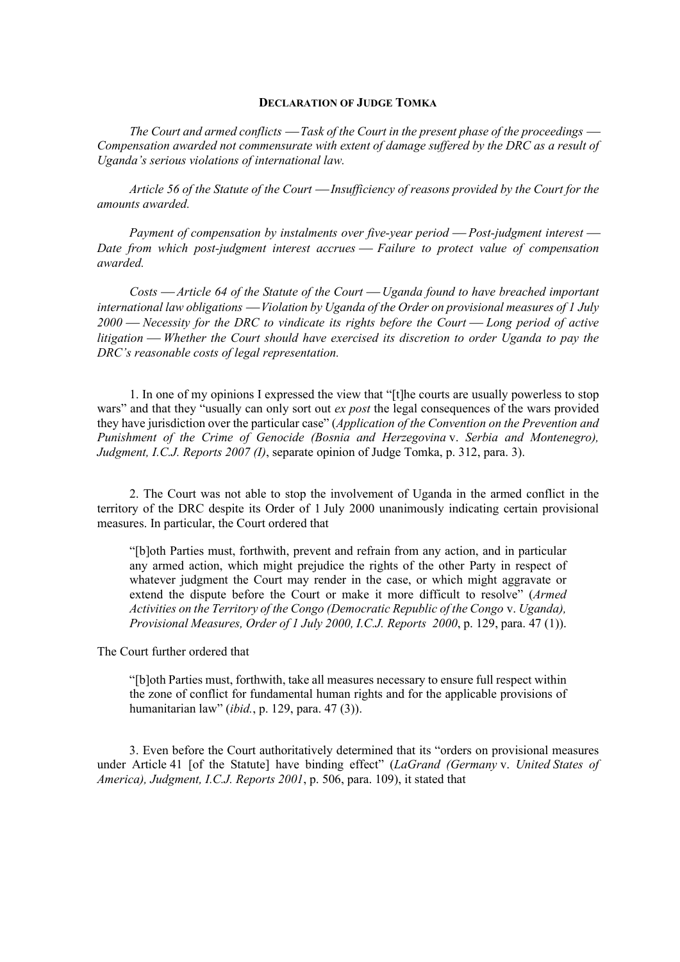## **DECLARATION OF JUDGE TOMKA**

*The Court and armed conflicts Task of the Court in the present phase of the proceedings Compensation awarded not commensurate with extent of damage suffered by the DRC as a result of Uganda's serious violations of international law.*

*Article 56 of the Statute of the Court Insufficiency of reasons provided by the Court for the amounts awarded.*

*Payment of compensation by instalments over five-year period Post-judgment interest Date from which post-judgment interest accrues Failure to protect value of compensation awarded.* 

*Costs Article 64 of the Statute of the Court Uganda found to have breached important international law obligations Violation by Uganda of the Order on provisional measures of 1 July 2000 Necessity for the DRC to vindicate its rights before the Court Long period of active litigation Whether the Court should have exercised its discretion to order Uganda to pay the DRC's reasonable costs of legal representation.*

1. In one of my opinions I expressed the view that "[t]he courts are usually powerless to stop wars" and that they "usually can only sort out *ex post* the legal consequences of the wars provided they have jurisdiction over the particular case" (*Application of the Convention on the Prevention and Punishment of the Crime of Genocide (Bosnia and Herzegovina* v. *Serbia and Montenegro), Judgment, I.C.J. Reports 2007 (I)*, separate opinion of Judge Tomka, p. 312, para. 3).

2. The Court was not able to stop the involvement of Uganda in the armed conflict in the territory of the DRC despite its Order of 1 July 2000 unanimously indicating certain provisional measures. In particular, the Court ordered that

"[b]oth Parties must, forthwith, prevent and refrain from any action, and in particular any armed action, which might prejudice the rights of the other Party in respect of whatever judgment the Court may render in the case, or which might aggravate or extend the dispute before the Court or make it more difficult to resolve" (*Armed Activities on the Territory of the Congo (Democratic Republic of the Congo* v. *Uganda), Provisional Measures, Order of 1 July 2000, I.C.J. Reports 2000*, p. 129, para. 47 (1)).

The Court further ordered that

"[b]oth Parties must, forthwith, take all measures necessary to ensure full respect within the zone of conflict for fundamental human rights and for the applicable provisions of humanitarian law" (*ibid.*, p. 129, para. 47 (3)).

3. Even before the Court authoritatively determined that its "orders on provisional measures under Article 41 [of the Statute] have binding effect" (*LaGrand (Germany* v. *United States of America), Judgment, I.C.J. Reports 2001*, p. 506, para. 109), it stated that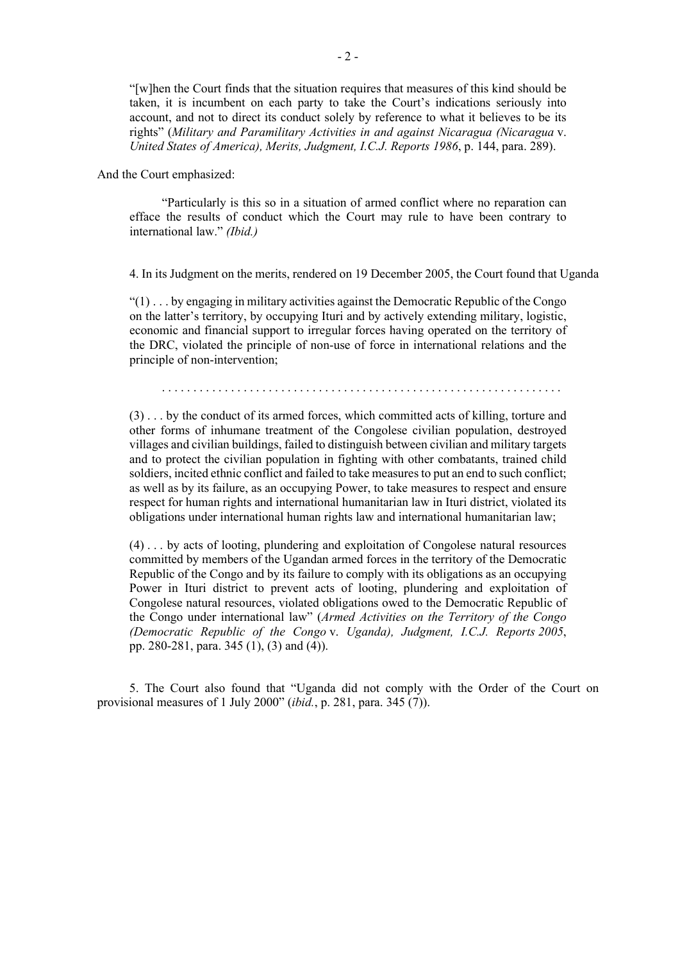"[w]hen the Court finds that the situation requires that measures of this kind should be taken, it is incumbent on each party to take the Court's indications seriously into account, and not to direct its conduct solely by reference to what it believes to be its rights" (*Military and Paramilitary Activities in and against Nicaragua (Nicaragua* v. *United States of America), Merits, Judgment, I.C.J. Reports 1986*, p. 144, para. 289).

And the Court emphasized:

"Particularly is this so in a situation of armed conflict where no reparation can efface the results of conduct which the Court may rule to have been contrary to international law." *(Ibid.)*

4. In its Judgment on the merits, rendered on 19 December 2005, the Court found that Uganda

 $\mathfrak{m}(1)$ ... by engaging in military activities against the Democratic Republic of the Congo on the latter's territory, by occupying Ituri and by actively extending military, logistic, economic and financial support to irregular forces having operated on the territory of the DRC, violated the principle of non-use of force in international relations and the principle of non-intervention;

. . . . . . . . . . . . . . . . . . . . . . . . . . . . . . . . . . . . . . . . . . . . . . . . . . . . . . . . . . . . . . . .

(3) . . . by the conduct of its armed forces, which committed acts of killing, torture and other forms of inhumane treatment of the Congolese civilian population, destroyed villages and civilian buildings, failed to distinguish between civilian and military targets and to protect the civilian population in fighting with other combatants, trained child soldiers, incited ethnic conflict and failed to take measures to put an end to such conflict; as well as by its failure, as an occupying Power, to take measures to respect and ensure respect for human rights and international humanitarian law in Ituri district, violated its obligations under international human rights law and international humanitarian law;

(4) . . . by acts of looting, plundering and exploitation of Congolese natural resources committed by members of the Ugandan armed forces in the territory of the Democratic Republic of the Congo and by its failure to comply with its obligations as an occupying Power in Ituri district to prevent acts of looting, plundering and exploitation of Congolese natural resources, violated obligations owed to the Democratic Republic of the Congo under international law" (*Armed Activities on the Territory of the Congo (Democratic Republic of the Congo* v. *Uganda), Judgment, I.C.J. Reports 2005*, pp. 280-281, para. 345 (1), (3) and (4)).

5. The Court also found that "Uganda did not comply with the Order of the Court on provisional measures of 1 July 2000" (*ibid.*, p. 281, para. 345 (7)).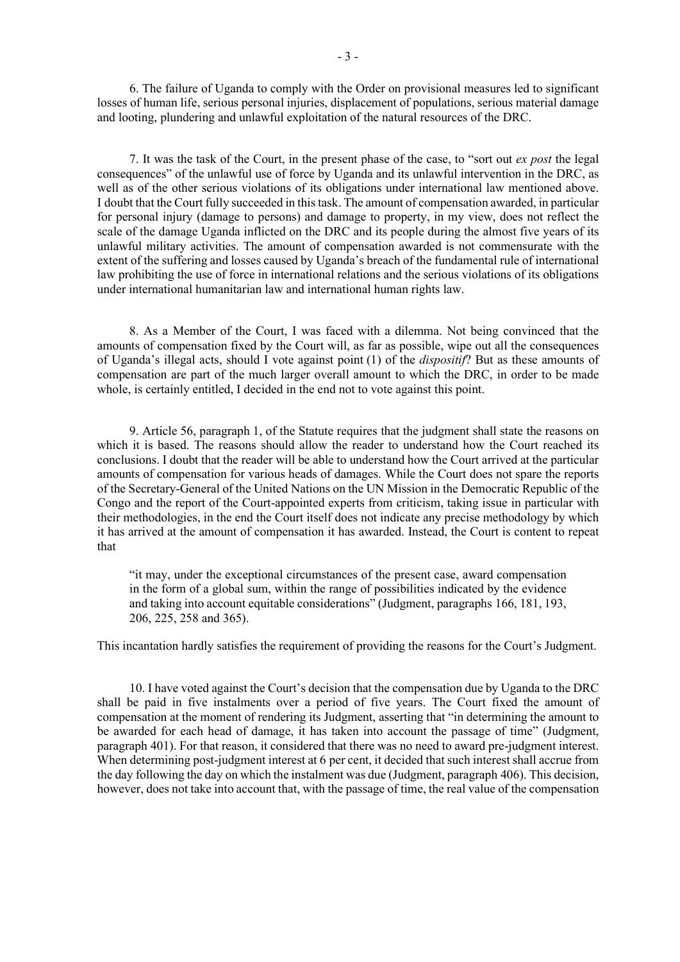6. The failure of Uganda to comply with the Order on provisional measures led to significant losses of human life, serious personal injuries, displacement of populations, serious material damage and looting, plundering and unlawful exploitation of the natural resources of the DRC.

7. It was the task of the Court, in the present phase of the case, to "sort out *ex post* the legal consequences" of the unlawful use of force by Uganda and its unlawful intervention in the DRC, as well as of the other serious violations of its obligations under international law mentioned above. I doubt that the Court fully succeeded in this task. The amount of compensation awarded, in particular for personal injury (damage to persons) and damage to property, in my view, does not reflect the scale of the damage Uganda inflicted on the DRC and its people during the almost five years of its unlawful military activities. The amount of compensation awarded is not commensurate with the extent of the suffering and losses caused by Uganda's breach of the fundamental rule of international law prohibiting the use of force in international relations and the serious violations of its obligations under international humanitarian law and international human rights law.

8. As a Member of the Court, I was faced with a dilemma. Not being convinced that the amounts of compensation fixed by the Court will, as far as possible, wipe out all the consequences of Uganda's illegal acts, should I vote against point (1) of the *dispositif*? But as these amounts of compensation are part of the much larger overall amount to which the DRC, in order to be made whole, is certainly entitled, I decided in the end not to vote against this point.

9. Article 56, paragraph 1, of the Statute requires that the judgment shall state the reasons on which it is based. The reasons should allow the reader to understand how the Court reached its conclusions. I doubt that the reader will be able to understand how the Court arrived at the particular amounts of compensation for various heads of damages. While the Court does not spare the reports of the Secretary-General of the United Nations on the UN Mission in the Democratic Republic of the Congo and the report of the Court-appointed experts from criticism, taking issue in particular with their methodologies, in the end the Court itself does not indicate any precise methodology by which it has arrived at the amount of compensation it has awarded. Instead, the Court is content to repeat that

"it may, under the exceptional circumstances of the present case, award compensation in the form of a global sum, within the range of possibilities indicated by the evidence and taking into account equitable considerations" (Judgment, paragraphs 166, 181, 193, 206, 225, 258 and 365).

This incantation hardly satisfies the requirement of providing the reasons for the Court's Judgment.

10. I have voted against the Court's decision that the compensation due by Uganda to the DRC shall be paid in five instalments over a period of five years. The Court fixed the amount of compensation at the moment of rendering its Judgment, asserting that "in determining the amount to be awarded for each head of damage, it has taken into account the passage of time" (Judgment, paragraph 401). For that reason, it considered that there was no need to award pre-judgment interest. When determining post-judgment interest at 6 per cent, it decided that such interest shall accrue from the day following the day on which the instalment was due (Judgment, paragraph 406). This decision, however, does not take into account that, with the passage of time, the real value of the compensation